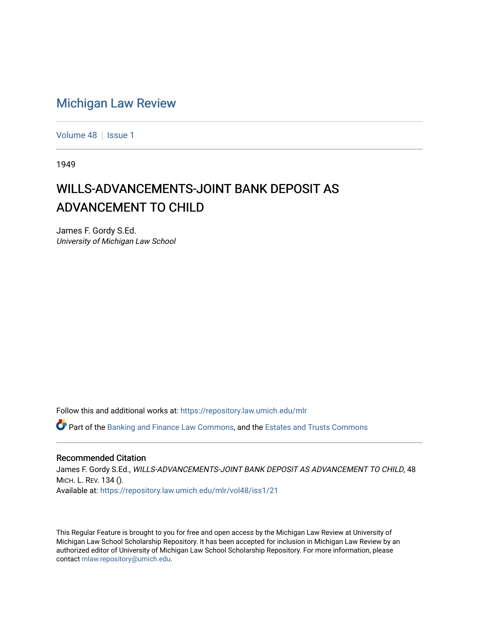## [Michigan Law Review](https://repository.law.umich.edu/mlr)

[Volume 48](https://repository.law.umich.edu/mlr/vol48) | [Issue 1](https://repository.law.umich.edu/mlr/vol48/iss1)

1949

## WILLS-ADVANCEMENTS-JOINT BANK DEPOSIT AS ADVANCEMENT TO CHILD

James F. Gordy S.Ed. University of Michigan Law School

Follow this and additional works at: [https://repository.law.umich.edu/mlr](https://repository.law.umich.edu/mlr?utm_source=repository.law.umich.edu%2Fmlr%2Fvol48%2Fiss1%2F21&utm_medium=PDF&utm_campaign=PDFCoverPages) 

 $\bullet$  Part of the [Banking and Finance Law Commons,](http://network.bepress.com/hgg/discipline/833?utm_source=repository.law.umich.edu%2Fmlr%2Fvol48%2Fiss1%2F21&utm_medium=PDF&utm_campaign=PDFCoverPages) and the [Estates and Trusts Commons](http://network.bepress.com/hgg/discipline/906?utm_source=repository.law.umich.edu%2Fmlr%2Fvol48%2Fiss1%2F21&utm_medium=PDF&utm_campaign=PDFCoverPages)

## Recommended Citation

James F. Gordy S.Ed., WILLS-ADVANCEMENTS-JOINT BANK DEPOSIT AS ADVANCEMENT TO CHILD, 48 MICH. L. REV. 134 (). Available at: [https://repository.law.umich.edu/mlr/vol48/iss1/21](https://repository.law.umich.edu/mlr/vol48/iss1/21?utm_source=repository.law.umich.edu%2Fmlr%2Fvol48%2Fiss1%2F21&utm_medium=PDF&utm_campaign=PDFCoverPages) 

This Regular Feature is brought to you for free and open access by the Michigan Law Review at University of Michigan Law School Scholarship Repository. It has been accepted for inclusion in Michigan Law Review by an authorized editor of University of Michigan Law School Scholarship Repository. For more information, please contact [mlaw.repository@umich.edu](mailto:mlaw.repository@umich.edu).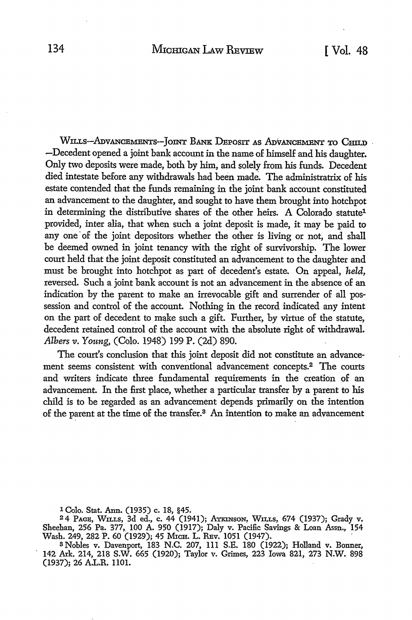WILLS-ADVANCEMENTS-JOINT BANK DEPOSIT AS ADVANCEMENT TO CHILD. -Decedent opened a joint bank account in the name of himself and his daughter. Only two deposits were made, both by him, and solely from his funds. Decedent died intestate before any withdrawals had been made. The administratrix of his estate contended that the funds remaining in the joint bank account constituted an advancement to the daughter, and sought to have them brought into hotchpot in determining the distributive shares of the other heirs. A Colorado statute<sup>1</sup> provided, inter alia, that when such a joint deposit is made, it may be paid to any one of the joint depositors whether the other is living or not, and shall be deemed owned in joint tenancy with the right of survivorship. The lower court held that the joint deposit constituted an advancement to the daughter and must be brought into hotchpot as part of decedent's estate. On appeal, *held,*  reversed. Such a joint bank account is not an advancement in the absence of an indication by the parent to make an irrevocable gift and surrender of all possession and control of the account. Nothing in the record indicated any intent on the part of decedent to make such a gift. Further, by virtue of the statute, decedent retained control of the account with the absolute right of withdrawal. *Albers v. Young,* (Colo. 1948) 199 P. (2d) 890.

The court's conclusion that this joint deposit did not constitute an advancement seems consistent with conventional advancement concepts.2 The courts and writers indicate three fundamental requirements in the creation of an advancement. In the first place, whether a particular transfer by a parent to his child is to be regarded as an advancement depends primarily on the intention of the parent at the time of the transfer.<sup>3</sup> An intention to make an advancement

1 Colo. Stat. Ann. (1935) c. 18, §45.

24 PAGB, W1LLS, 3d ed., c. 44 (1941); ATKINsoN, WlLLs, 674 (1937); Grady v. Sheehan, 256 Pa. 377, 100 A. 950 (1917); Daly v. Pacific Savings & Loan Assn., 154 Wash. 249, 282 P. 60 (1929); 45 MICH. L. REv. 1051 (1947).

s Nobles v. Davenport, 183 N.C. 207, 111 S.E. 180 (1922); Holland v. Bonner, 142 Axk. 214, 218 S.W. 665 (1920); Taylor v. Grimes, 223 Iowa 821, 273 N.W. 898 (1937); 26 A.L.R. 1101.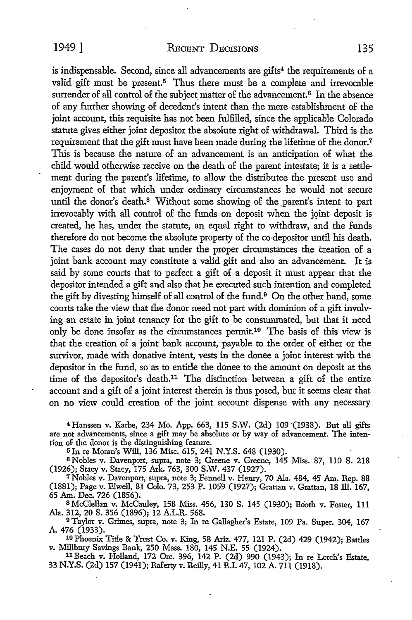is indispensable. Second, since all advancements are gifts<sup>4</sup> the requirements of a valid gift must be present.<sup>5</sup> Thus there must be a complete and irrevocable surrender of all control of the subject matter of the advancement.<sup>6</sup> In the absence of any further showing of decedent's intent than the mere establishment of the joint account, this requisite has not been fulfilled, since the applicable Colorado statute gives either joint depositor the absolute right of withdrawal. Third is the requirement that the gift must have been made during the lifetime of the donor.<sup>7</sup> This is because the nature of an advancement is an anticipation of what the child would otherwise receive on the death of the parent intestate; it is a settlement during the parent's lifetime, to allow the distributee the present use and enjoyment of that which under ordinary circumstances he would not secure until the donor's death.<sup>8</sup> Without some showing of the parent's intent to part irrevocably with all control of the funds on deposit when the joint deposit is created, he has, under the statute, an equal right to withdraw, and the funds therefore do not become the absolute property of the co-depositor until his death. The cases do not deny that under the proper circumstances the creation of a joint bank account may constitute a valid gift and also an advancement. It is said by some courts that to perfect a gift of a deposit it must appear that the depositor intended a gift and also that he executed such intention and completed the gift by divesting himself of all control of the fund.<sup>9</sup> On the other hand, some courts take the view that the donor need not part with dominion of a gift involving an estate in joint tenancy for the gift to be consummated, but that it need only be done insofar as the circumstances permit.10 The basis of this view is that the creation of a joint bank account, payable to the order of either or the survivor, made with donative intent, vests in the donee a joint interest with the depositor in the fund, so as to entitle the donee to the amount on deposit at the time of the depositor's death.11 The distinction between a gift of the entire account and a gift of a joint interest therein is thus posed, but it seems clear that on no view could creation of the joint account dispense with any necessary

4 Hanssen v. Karbe, 234 Mo. App. 663, 115 S.W. (2d) 109 (1938). But all gifts are not advancements, since a gift may be absolute or by way of advancement. The intention of the donor is the distinguishing feature.

5Jn re Moran's Will, 136 Misc. 615,241 N.Y.S. 648 (1930).

6 Nobles v. Davenport, supra, note 3; Greene v: Greene, 145 Miss. 87, 110 S. 218 (1926); Stacy v. Stacy, 175 Ark. 763, 300 S.W. 437 (1927).

<sup>7</sup>Nobles v. Davenport, supra, note 3; Fennell v. Henry, 70 Ala. 484, 45 Am. Rep. 88 (1881); Page v. Elwell, 81 Colo. 73, 253 P. 1059 (1927); Grattan v. Grattan, 18 ID. 167, 65 Am. Dec. 726 (1856).

8 McClellan v. McCauley, 158 Miss. 456, 130 S. 145 (1930); Booth v. Foster, 111 Ala. 312, 20 S. 356 (1896); 12 A.L.R. 568. ,

<sup>9</sup>Taylor v. Grimes, supra, note 3; In re Gallagher's Estate, 109 Pa. Super. 304, 167

A. 476 (1933). 10 Phoenix Title & Trust Co. v. King, 58 Ariz. 477, 121 P. (2d) 429 (1942); Battles v. Millbury Savings Bank, 250 Mass. 180, 145 N.E. 55 (1924).

<sup>11</sup> Beach v. Holland, 172 Ore. 396, 142 P. (2d) 990 (1943); In re Lorch's Estate, 33 N.Y.S. (2d) 157 (1941); Raferty v. Reilly, 41 R.I. 47, 102 A. 711 (1918).